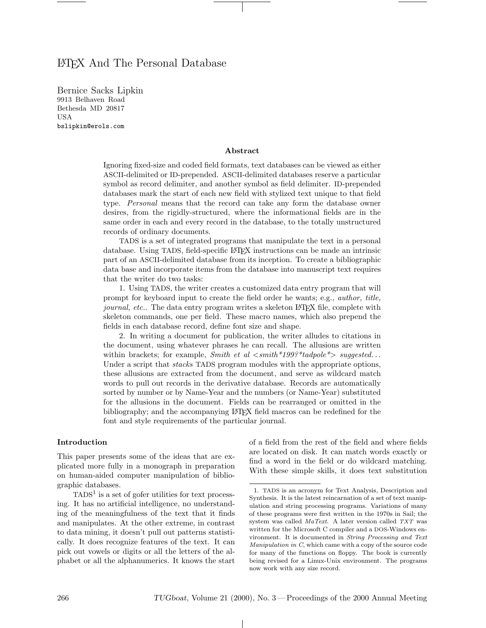# LATEX And The Personal Database

Bernice Sacks Lipkin 9913 Belhaven Road Bethesda MD 20817 USA bslipkin@erols.com

#### Abstract

Ignoring fixed-size and coded field formats, text databases can be viewed as either ASCII-delimited or ID-prepended. ASCII-delimited databases reserve a particular symbol as record delimiter, and another symbol as field delimiter. ID-prepended databases mark the start of each new field with stylized text unique to that field type. Personal means that the record can take any form the database owner desires, from the rigidly-structured, where the informational fields are in the same order in each and every record in the database, to the totally unstructured records of ordinary documents.

TADS is a set of integrated programs that manipulate the text in a personal database. Using TADS, field-specific LATEX instructions can be made an intrinsic part of an ASCII-delimited database from its inception. To create a bibliographic data base and incorporate items from the database into manuscript text requires that the writer do two tasks:

1. Using TADS, the writer creates a customized data entry program that will prompt for keyboard input to create the field order he wants; e.g., author, title, journal, etc.. The data entry program writes a skeleton LATEX file, complete with skeleton commands, one per field. These macro names, which also prepend the fields in each database record, define font size and shape.

2. In writing a document for publication, the writer alludes to citations in the document, using whatever phrases he can recall. The allusions are written within brackets; for example, Smith et al  $\langle \textit{small*199?}^* \textit{tadpole} \rangle$  suggested... Under a script that *stacks* TADS program modules with the appropriate options, these allusions are extracted from the document, and serve as wildcard match words to pull out records in the derivative database. Records are automatically sorted by number or by Name-Year and the numbers (or Name-Year) substituted for the allusions in the document. Fields can be rearranged or omitted in the bibliography; and the accompanying LATEX field macros can be redefined for the font and style requirements of the particular journal.

 $\perp$ 

#### Introduction

This paper presents some of the ideas that are explicated more fully in a monograph in preparation on human-aided computer manipulation of bibliographic databases.

 $TADS<sup>1</sup>$  is a set of gofer utilities for text processing. It has no artificial intelligence, no understanding of the meaningfulness of the text that it finds and manipulates. At the other extreme, in contrast to data mining, it doesn't pull out patterns statistically. It does recognize features of the text. It can pick out vowels or digits or all the letters of the alphabet or all the alphanumerics. It knows the start of a field from the rest of the field and where fields are located on disk. It can match words exactly or find a word in the field or do wildcard matching. With these simple skills, it does text substitution

<sup>1</sup>. TADS is an acronym for Text Analysis, Description and Synthesis. It is the latest reincarnation of a set of text manipulation and string processing programs. Variations of many of these programs were first written in the 1970s in Sail; the system was called MaText. A later version called TXT was written for the Microsoft C compiler and a DOS-Windows environment. It is documented in String Processing and Text Manipulation in C, which came with a copy of the source code for many of the functions on floppy. The book is currently being revised for a Linux-Unix environment. The programs now work with any size record.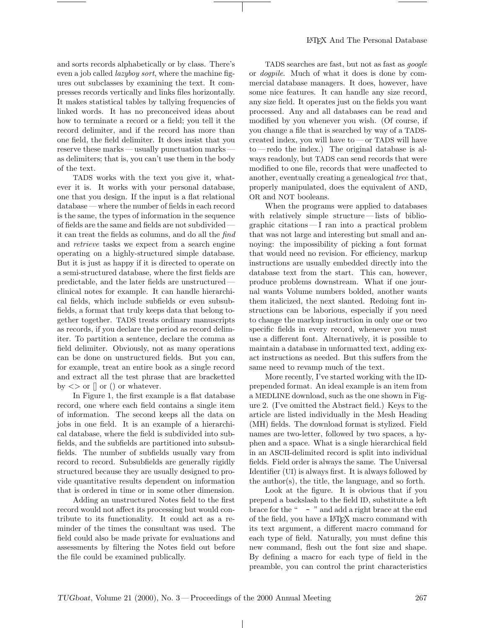and sorts records alphabetically or by class. There's even a job called lazyboy sort, where the machine figures out subclasses by examining the text. It compresses records vertically and links files horizontally. It makes statistical tables by tallying frequencies of linked words. It has no preconceived ideas about how to terminate a record or a field; you tell it the record delimiter, and if the record has more than one field, the field delimiter. It does insist that you reserve these marks — usually punctuation marks as delimiters; that is, you can't use them in the body of the text.

TADS works with the text you give it, whatever it is. It works with your personal database, one that you design. If the input is a flat relational database — where the number of fields in each record is the same, the types of information in the sequence of fields are the same and fields are not subdivided it can treat the fields as columns, and do all the find and retrieve tasks we expect from a search engine operating on a highly-structured simple database. But it is just as happy if it is directed to operate on a semi-structured database, where the first fields are predictable, and the later fields are unstructured clinical notes for example. It can handle hierarchical fields, which include subfields or even subsubfields, a format that truly keeps data that belong together together. TADS treats ordinary manuscripts as records, if you declare the period as record delimiter. To partition a sentence, declare the comma as field delimiter. Obviously, not as many operations can be done on unstructured fields. But you can, for example, treat an entire book as a single record and extract all the test phrase that are bracketted by  $\langle \rangle$  or  $\parallel$  or  $\langle \rangle$  or whatever.

In Figure 1, the first example is a flat database record, one where each field contains a single item of information. The second keeps all the data on jobs in one field. It is an example of a hierarchical database, where the field is subdivided into subfields, and the subfields are partitioned into subsubfields. The number of subfields usually vary from record to record. Subsubfields are generally rigidly structured because they are usually designed to provide quantitative results dependent on information that is ordered in time or in some other dimension.

Adding an unstructured Notes field to the first record would not affect its processing but would contribute to its functionality. It could act as a reminder of the times the consultant was used. The field could also be made private for evaluations and assessments by filtering the Notes field out before the file could be examined publically.

TADS searches are fast, but not as fast as google or dogpile. Much of what it does is done by commercial database managers. It does, however, have some nice features. It can handle any size record, any size field. It operates just on the fields you want processed. Any and all databases can be read and modified by you whenever you wish. (Of course, if you change a file that is searched by way of a TADScreated index, you will have to— or TADS will have  $to$  — redo the index.) The original database is always readonly, but TADS can send records that were modified to one file, records that were unaffected to another, eventually creating a genealogical tree that, properly manipulated, does the equivalent of AND, OR and NOT booleans.

When the programs were applied to databases with relatively simple structure—lists of bibliographic citations — I ran into a practical problem that was not large and interesting but small and annoying: the impossibility of picking a font format that would need no revision. For efficiency, markup instructions are usually embedded directly into the database text from the start. This can, however, produce problems downstream. What if one journal wants Volume numbers bolded, another wants them italicized, the next slanted. Redoing font instructions can be laborious, especially if you need to change the markup instruction in only one or two specific fields in every record, whenever you must use a different font. Alternatively, it is possible to maintain a database in unformatted text, adding exact instructions as needed. But this suffers from the same need to revamp much of the text.

More recently, I've started working with the IDprepended format. An ideal example is an item from a MEDLINE download, such as the one shown in Figure 2. (I've omitted the Abstract field.) Keys to the article are listed individually in the Mesh Heading (MH) fields. The download format is stylized. Field names are two-letter, followed by two spaces, a hyphen and a space. What is a single hierarchical field in an ASCII-delimited record is split into individual fields. Field order is always the same. The Universal Identifier (UI) is always first. It is always followed by the author(s), the title, the language, and so forth.

Look at the figure. It is obvious that if you prepend a backslash to the field ID, substitute a left brace for the " - " and add a right brace at the end of the field, you have a LATEX macro command with its text argument, a different macro command for each type of field. Naturally, you must define this new command, flesh out the font size and shape. By defining a macro for each type of field in the preamble, you can control the print characteristics

 $\mathbb{R}$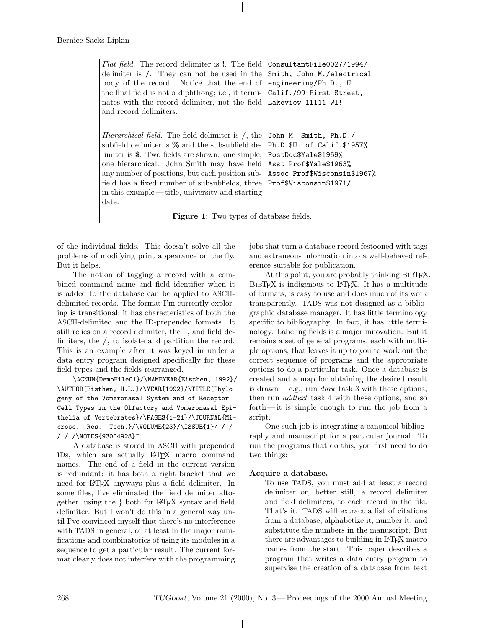| <i>Flat field.</i> The record delimiter is !. The field ConsultantFile0027/1994/ |  |  |  |  |  |
|----------------------------------------------------------------------------------|--|--|--|--|--|
| delimiter is /. They can not be used in the Smith, John M./electrical            |  |  |  |  |  |
| body of the record. Notice that the end of engineering/Ph.D., U                  |  |  |  |  |  |
| the final field is not a diphthong; i.e., it termi- Calif./99 First Street,      |  |  |  |  |  |
| nates with the record delimiter, not the field Lakeview 11111 WI!                |  |  |  |  |  |
| and record delimiters.                                                           |  |  |  |  |  |
|                                                                                  |  |  |  |  |  |
| Hierarchical field. The field delimiter is /, the John M. Smith, Ph.D./          |  |  |  |  |  |
| subfield delimiter is % and the subsubfield de-Ph.D.\$U. of Calif.\$1957%        |  |  |  |  |  |
| limiter is \$. Two fields are shown: one simple, PostDoc\$Yale\$1959%            |  |  |  |  |  |
| one hierarchical. John Smith may have held Asst Prof\$Yale\$1963%                |  |  |  |  |  |
| any number of positions, but each position sub- Assoc Prof\$Wisconsin\$1967%     |  |  |  |  |  |
| field has a fixed number of subsubfields, three Prof \$Wisconsin \$1971/         |  |  |  |  |  |
| in this example — title, university and starting                                 |  |  |  |  |  |
| date.                                                                            |  |  |  |  |  |
| <b>Figure 1:</b> Two types of database fields.                                   |  |  |  |  |  |

of the individual fields. This doesn't solve all the problems of modifying print appearance on the fly. But it helps.

The notion of tagging a record with a combined command name and field identifier when it is added to the database can be applied to ASCIIdelimited records. The format I'm currently exploring is transitional; it has characteristics of both the ASCII-delimited and the ID-prepended formats. It still relies on a record delimiter, the ˜, and field delimiters, the /, to isolate and partition the record. This is an example after it was keyed in under a data entry program designed specifically for these field types and the fields rearranged.

\ACNUM{DemoFile01}/\NAMEYEAR{Eisthen, 1992}/ \AUTHOR{Eisthen, H.L.}/\YEAR{1992}/\TITLE{Phylogeny of the Vomeronasal System and of Receptor Cell Types in the Olfactory and Vomeronasal Epithelia of Vertebrates}/\PAGES{1-21}/\JOURNAL{Microsc. Res. Tech.}/\VOLUME{23}/\ISSUE{1}/ / / / / /\NOTES{93004928}~

A database is stored in ASCII with prepended IDs, which are actually LATEX macro command names. The end of a field in the current version is redundant: it has both a right bracket that we need for LATEX anyways plus a field delimiter. In some files, I've eliminated the field delimiter altogether, using the } both for LATEX syntax and field delimiter. But I won't do this in a general way until I've convinced myself that there's no interference with TADS in general, or at least in the major ramifications and combinatorics of using its modules in a sequence to get a particular result. The current format clearly does not interfere with the programming jobs that turn a database record festooned with tags and extraneous information into a well-behaved reference suitable for publication.

At this point, you are probably thinking BibTEX. BIBTEX is indigenous to L<sup>AT</sup>EX. It has a multitude of formats, is easy to use and does much of its work transparently. TADS was not designed as a bibliographic database manager. It has little terminology specific to bibliography. In fact, it has little terminology. Labeling fields is a major innovation. But it remains a set of general programs, each with multiple options, that leaves it up to you to work out the correct sequence of programs and the appropriate options to do a particular task. Once a database is created and a map for obtaining the desired result is drawn—e.g., run *dork* task 3 with these options, then run *addtext* task 4 with these options, and so forth— it is simple enough to run the job from a script.

One such job is integrating a canonical bibliography and manuscript for a particular journal. To run the programs that do this, you first need to do two things:

#### Acquire a database.

To use TADS, you must add at least a record delimiter or, better still, a record delimiter and field delimiters, to each record in the file. That's it. TADS will extract a list of citations from a database, alphabetize it, number it, and substitute the numbers in the manuscript. But there are advantages to building in LATEX macro names from the start. This paper describes a program that writes a data entry program to supervise the creation of a database from text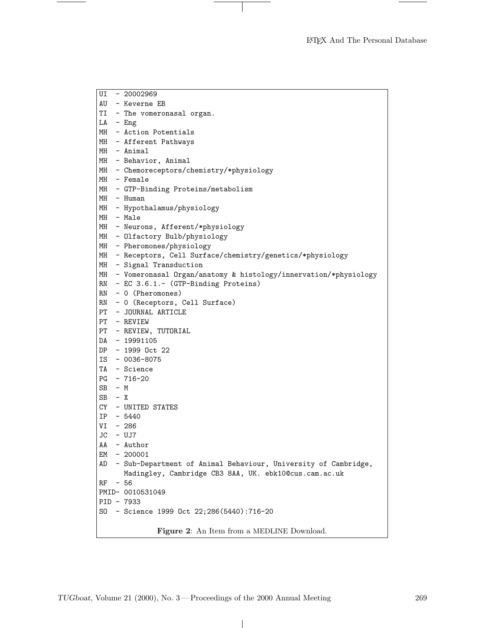LATEX And The Personal Database

| UI       | - 20002969                                                                                                              |
|----------|-------------------------------------------------------------------------------------------------------------------------|
|          | AU - Keverne EB                                                                                                         |
|          | TI - The vomeronasal organ.                                                                                             |
|          | $LA - Eng$                                                                                                              |
|          | MH - Action Potentials                                                                                                  |
|          | MH - Afferent Pathways                                                                                                  |
|          | MH - Animal                                                                                                             |
|          | MH - Behavior, Animal                                                                                                   |
|          | MH - Chemoreceptors/chemistry/*physiology                                                                               |
|          | MH - Female                                                                                                             |
|          | MH - GTP-Binding Proteins/metabolism                                                                                    |
|          | MH - Human                                                                                                              |
|          | MH - Hypothalamus/physiology                                                                                            |
|          | MH - Male                                                                                                               |
|          | MH - Neurons, Afferent/*physiology                                                                                      |
|          | MH - Olfactory Bulb/physiology                                                                                          |
|          | MH - Pheromones/physiology                                                                                              |
|          | MH - Receptors, Cell Surface/chemistry/genetics/*physiology                                                             |
|          | MH - Signal Transduction                                                                                                |
|          | MH - Vomeronasal Organ/anatomy & histology/innervation/*physiology                                                      |
|          | RN - EC 3.6.1.- (GTP-Binding Proteins)                                                                                  |
|          | $RN - 0$ (Pheromones)                                                                                                   |
|          | RN - 0 (Receptors, Cell Surface)                                                                                        |
|          | PT - JOURNAL ARTICLE                                                                                                    |
|          | PT - REVIEW                                                                                                             |
|          | PT - REVIEW, TUTORIAL                                                                                                   |
|          | DA - 19991105                                                                                                           |
|          | DP - 1999 Oct 22                                                                                                        |
|          | IS - 0036-8075                                                                                                          |
|          | TA - Science                                                                                                            |
|          | $PG - 716 - 20$                                                                                                         |
| $SB - M$ |                                                                                                                         |
| $SB - X$ |                                                                                                                         |
|          | CY - UNITED STATES                                                                                                      |
|          | $IP - 5440$                                                                                                             |
|          | VI - 286                                                                                                                |
|          | JC - UJ7                                                                                                                |
|          | AA - Author                                                                                                             |
| EM       | $-200001$                                                                                                               |
| AD       | - Sub-Department of Animal Behaviour, University of Cambridge,<br>Madingley, Cambridge CB3 8AA, UK. ebk10@cus.cam.ac.uk |
| RF       | $-56$                                                                                                                   |
|          | PMID- 0010531049                                                                                                        |
|          | PID - 7933                                                                                                              |
|          | S0 - Science 1999 Oct 22;286(5440):716-20                                                                               |
|          |                                                                                                                         |
|          | Figure 2: An Item from a MEDLINE Download.                                                                              |

 $\begin{array}{c} \hline \end{array}$ 

 $\overline{\phantom{0}}$ 

 $\mathbf{I}$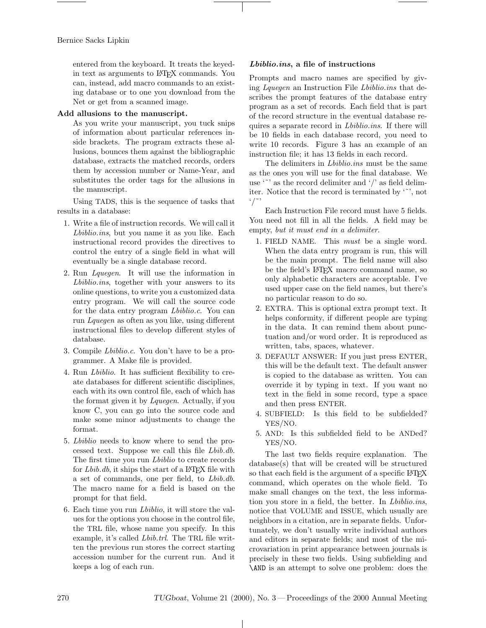entered from the keyboard. It treats the keyedin text as arguments to LATEX commands. You can, instead, add macro commands to an existing database or to one you download from the Net or get from a scanned image.

# Add allusions to the manuscript.

As you write your manuscript, you tuck snips of information about particular references inside brackets. The program extracts these allusions, bounces them against the bibliographic database, extracts the matched records, orders them by accession number or Name-Year, and substitutes the order tags for the allusions in the manuscript.

Using TADS, this is the sequence of tasks that results in a database:

- 1. Write a file of instruction records. We will call it Lbiblio.ins, but you name it as you like. Each instructional record provides the directives to control the entry of a single field in what will eventually be a single database record.
- 2. Run Lquegen. It will use the information in Lbiblio.ins, together with your answers to its online questions, to write you a customized data entry program. We will call the source code for the data entry program Lbiblio.c. You can run Lquegen as often as you like, using different instructional files to develop different styles of database.
- 3. Compile Lbiblio.c. You don't have to be a programmer. A Make file is provided.
- 4. Run Lbiblio. It has sufficient flexibility to create databases for different scientific disciplines, each with its own control file, each of which has the format given it by Lquegen. Actually, if you know C, you can go into the source code and make some minor adjustments to change the format.
- 5. Lbiblio needs to know where to send the processed text. Suppose we call this file Lbib.db. The first time you run *Lbiblio* to create records for Lbib.db, it ships the start of a LAT<sub>E</sub>X file with a set of commands, one per field, to Lbib.db. The macro name for a field is based on the prompt for that field.
- 6. Each time you run Lbiblio, it will store the values for the options you choose in the control file, the TRL file, whose name you specify. In this example, it's called Lbib.trl. The TRL file written the previous run stores the correct starting accession number for the current run. And it keeps a log of each run.

### Lbiblio.ins, a file of instructions

Prompts and macro names are specified by giving Lquegen an Instruction File Lbiblio.ins that describes the prompt features of the database entry program as a set of records. Each field that is part of the record structure in the eventual database requires a separate record in Lbiblio.ins. If there will be 10 fields in each database record, you need to write 10 records. Figure 3 has an example of an instruction file; it has 13 fields in each record.

The delimiters in *Lbiblio.ins* must be the same as the ones you will use for the final database. We use  $\cdots$  as the record delimiter and  $\prime$  as field delimiter. Notice that the record is terminated by '˜', not  $\frac{1}{\sqrt{2}}$ 

Each Instruction File record must have 5 fields. You need not fill in all the fields. A field may be empty, but it must end in a delimiter.

- 1. FIELD NAME. This must be a single word. When the data entry program is run, this will be the main prompt. The field name will also be the field's L<sup>AT</sup>FX macro command name, so only alphabetic characters are acceptable. I've used upper case on the field names, but there's no particular reason to do so.
- 2. EXTRA. This is optional extra prompt text. It helps conformity, if different people are typing in the data. It can remind them about punctuation and/or word order. It is reproduced as written, tabs, spaces, whatever.
- 3. DEFAULT ANSWER: If you just press ENTER, this will be the default text. The default answer is copied to the database as written. You can override it by typing in text. If you want no text in the field in some record, type a space and then press ENTER.
- 4. SUBFIELD: Is this field to be subfielded? YES/NO.
- 5. AND: Is this subfielded field to be ANDed? YES/NO.

The last two fields require explanation. The database(s) that will be created will be structured so that each field is the argument of a specific LAT<sub>EX</sub> command, which operates on the whole field. To make small changes on the text, the less information you store in a field, the better. In Lbiblio.ins, notice that VOLUME and ISSUE, which usually are neighbors in a citation, are in separate fields. Unfortunately, we don't usually write individual authors and editors in separate fields; and most of the microvariation in print appearance between journals is precisely in these two fields. Using subfielding and \AND is an attempt to solve one problem: does the

 $\perp$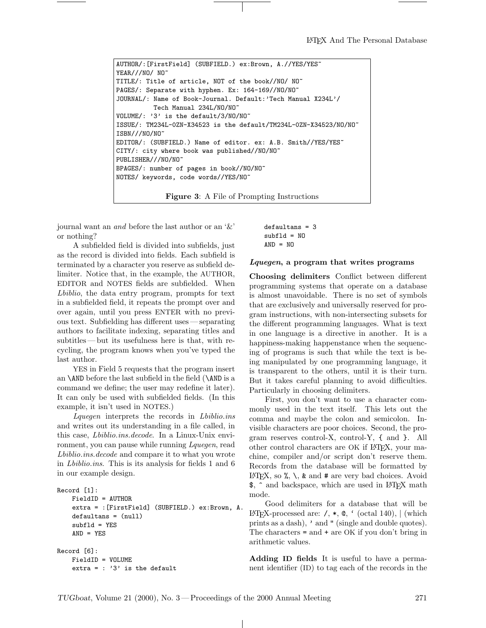```
AUTHOR/:[FirstField] (SUBFIELD.) ex:Brown, A.//YES/YES~
YEAR///NO/ NO~
TITLE/: Title of article, NOT of the book//NO/ NO~
PAGES/: Separate with hyphen. Ex: 164-169//NO/NO~
JOURNAL/: Name of Book-Journal. Default:'Tech Manual X234L'/
          Tech Manual 234L/NO/NO~
VOLUME/: '3' is the default/3/NO/NO~
ISSUE/: TM234L-0ZN-X34523 is the default/TM234L-0ZN-X34523/NO/NO~
ISBN//NO/NO<sup>~</sup>EDITOR/: (SUBFIELD.) Name of editor. ex: A.B. Smith//YES/YES~
CITY/: city where book was published//NO/NO~
PUBLISHER///NO/NO~
BPAGES/: number of pages in book//NO/NO~
NOTES/ keywords, code words//YES/NO~
```
Figure 3: A File of Prompting Instructions

journal want an and before the last author or an '&' or nothing?

A subfielded field is divided into subfields, just as the record is divided into fields. Each subfield is terminated by a character you reserve as subfield delimiter. Notice that, in the example, the AUTHOR, EDITOR and NOTES fields are subfielded. When Lbiblio, the data entry program, prompts for text in a subfielded field, it repeats the prompt over and over again, until you press ENTER with no previous text. Subfielding has different uses — separating authors to facilitate indexing, separating titles and subtitles — but its usefulness here is that, with recycling, the program knows when you've typed the last author.

YES in Field 5 requests that the program insert an \AND before the last subfield in the field (\AND is a command we define; the user may redefine it later). It can only be used with subfielded fields. (In this example, it isn't used in NOTES.)

Lquegen interprets the records in Lbiblio.ins and writes out its understanding in a file called, in this case, Lbiblio.ins.decode. In a Linux-Unix environment, you can pause while running Lquegen, read Lbiblio.ins.decode and compare it to what you wrote in Lbiblio.ins. This is its analysis for fields 1 and 6 in our example design.

```
Record [1]:
    FieldID = AUTHOR
    extra = :[FirstField] (SUBFIELD.) ex:Brown, A.
   defaultans = (null)
    subf1d = YESAND = YESRecord [6]:
    FieldID = VOLUME
    extra = : '3' is the default
```

```
defaultans = 3
subfld = NO
AND = NO
```
#### Lquegen, a program that writes programs

Choosing delimiters Conflict between different programming systems that operate on a database is almost unavoidable. There is no set of symbols that are exclusively and universally reserved for program instructions, with non-intersecting subsets for the different programming languages. What is text in one language is a directive in another. It is a happiness-making happenstance when the sequencing of programs is such that while the text is being manipulated by one programming language, it is transparent to the others, until it is their turn. But it takes careful planning to avoid difficulties. Particularly in choosing delimiters.

First, you don't want to use a character commonly used in the text itself. This lets out the comma and maybe the colon and semicolon. Invisible characters are poor choices. Second, the program reserves control-X, control-Y, { and }. All other control characters are OK if LATEX, your machine, compiler and/or script don't reserve them. Records from the database will be formatted by LAT<sub>EX</sub>, so  $\%$ ,  $\setminus$ , & and # are very bad choices. Avoid \$, ^ and backspace, which are used in LATEX math mode.

Good delimiters for a database that will be LATEX-processed are:  $/$ ,  $\ast$ ,  $\mathbb{Q}$ ,  $\cdot$  (octal 140),  $\vert$  (which prints as a dash), ' and " (single and double quotes). The characters = and + are OK if you don't bring in arithmetic values.

Adding ID fields It is useful to have a permanent identifier (ID) to tag each of the records in the

 $\mathbf{I}$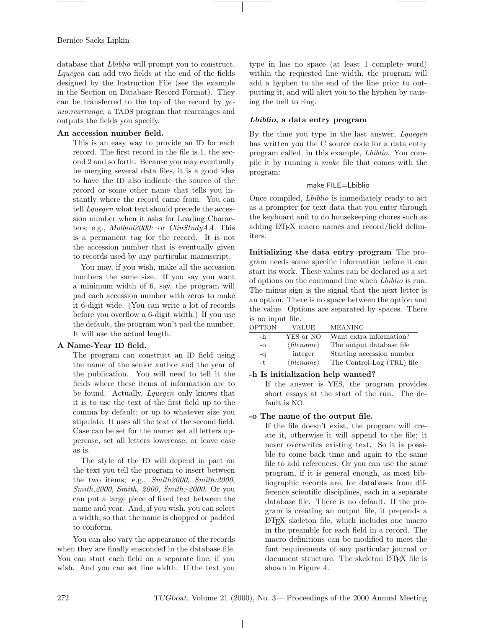database that Lbiblio will prompt you to construct. Lquegen can add two fields at the end of the fields designed by the Instruction File (see the example in the Section on Database Record Format). They can be transferred to the top of the record by genio:rearrange, a TADS program that rearranges and outputs the fields you specify.

# An accession number field.

This is an easy way to provide an ID for each record. The first record in the file is 1, the second 2 and so forth. Because you may eventually be merging several data files, it is a good idea to have the ID also indicate the source of the record or some other name that tells you instantly where the record came from. You can tell *Lquegen* what text should precede the accession number when it asks for Leading Characters; e.g., Molbiol2000: or ClinStudyAA. This is a permanent tag for the record. It is not the accession number that is eventually given to records used by any particular manuscript.

You may, if you wish, make all the accession numbers the same size. If you say you want a minimum width of 6, say, the program will pad each accession number with zeros to make it 6-digit wide. (You can write a lot of records before you overflow a 6-digit width.) If you use the default, the program won't pad the number. It will use the actual length.

# A Name-Year ID field.

The program can construct an ID field using the name of the senior author and the year of the publication. You will need to tell it the fields where these items of information are to be found. Actually, Lquegen only knows that it is to use the text of the first field up to the comma by default; or up to whatever size you stipulate. It uses all the text of the second field. Case can be set for the name: set all letters uppercase, set all letters lowercase, or leave case as is.

The style of the ID will depend in part on the text you tell the program to insert between the two items; e.g.,  $Smith2000$ ,  $Smith:2000$ , Smith,2000, Smith, 2000, Smith:-2000. Or you can put a large piece of fixed text between the name and year. And, if you wish, you can select a width, so that the name is chopped or padded to conform.

You can also vary the appearance of the records when they are finally ensconced in the database file. You can start each field on a separate line, if you wish. And you can set line width. If the text you type in has no space (at least 1 complete word) within the requested line width, the program will add a hyphen to the end of the line prior to outputting it, and will alert you to the hyphen by causing the bell to ring.

# Lbiblio, a data entry program

By the time you type in the last answer, Lquegen has written you the C source code for a data entry program called, in this example, Lbiblio. You compile it by running a make file that comes with the program:

# make FILE=Lbiblio

Once compiled, Lbiblio is immediately ready to act as a prompter for text data that you enter through the keyboard and to do housekeeping chores such as adding LATEX macro names and record/field delimiters.

Initializing the data entry program The program needs some specific information before it can start its work. These values can be declared as a set of options on the command line when Lbiblio is run. The minus sign is the signal that the next letter is an option. There is no space between the option and the value. Options are separated by spaces. There is no input file.

| OPTION | VALUE                        | <b>MEANING</b>             |
|--------|------------------------------|----------------------------|
| -h     | YES or NO                    | Want extra information?    |
| $-o$   | $\langle$ filename $\rangle$ | The output database file   |
| -q     | integer                      | Starting accession number  |
| -t     | $\langle$ filename $\rangle$ | The Control-Log (TRL) file |
|        |                              |                            |

#### -h Is initialization help wanted?

If the answer is YES, the program provides short essays at the start of the run. The default is NO.

#### -o The name of the output file.

If the file doesn't exist, the program will create it, otherwise it will append to the file; it never overwrites existing text. So it is possible to come back time and again to the same file to add references. Or you can use the same program, if it is general enough, as most bibliographic records are, for databases from difference scientific disciplines, each in a separate database file. There is no default. If the program is creating an output file, it prepends a LATEX skeleton file, which includes one macro in the preamble for each field in a record. The macro definitions can be modified to meet the font requirements of any particular journal or document structure. The skeleton LATEX file is shown in Figure 4.

 $\perp$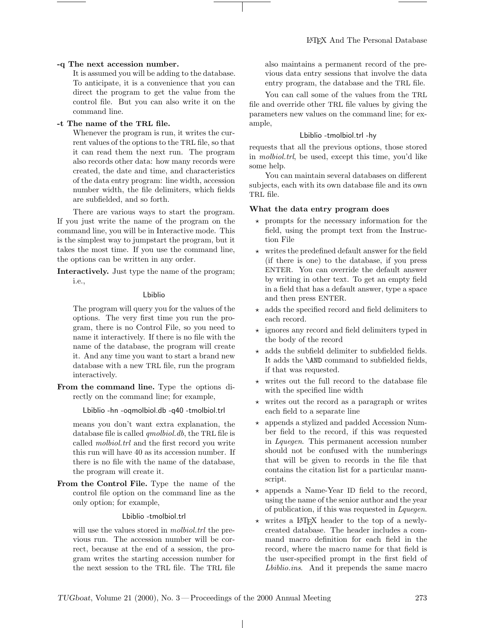# -q The next accession number.

It is assumed you will be adding to the database. To anticipate, it is a convenience that you can direct the program to get the value from the control file. But you can also write it on the command line.

# -t The name of the TRL file.

Whenever the program is run, it writes the current values of the options to the TRL file, so that it can read them the next run. The program also records other data: how many records were created, the date and time, and characteristics of the data entry program: line width, accession number width, the file delimiters, which fields are subfielded, and so forth.

There are various ways to start the program. If you just write the name of the program on the command line, you will be in Interactive mode. This is the simplest way to jumpstart the program, but it takes the most time. If you use the command line, the options can be written in any order.

Interactively. Just type the name of the program; i.e.,

#### Lbiblio

The program will query you for the values of the options. The very first time you run the program, there is no Control File, so you need to name it interactively. If there is no file with the name of the database, the program will create it. And any time you want to start a brand new database with a new TRL file, run the program interactively.

From the command line. Type the options directly on the command line; for example,

Lbiblio -hn -oqmolbiol.db -q40 -tmolbiol.trl

means you don't want extra explanation, the database file is called qmolbiol.db, the TRL file is called molbiol.trl and the first record you write this run will have 40 as its accession number. If there is no file with the name of the database, the program will create it.

From the Control File. Type the name of the control file option on the command line as the only option; for example,

#### Lbiblio -tmolbiol.trl

will use the values stored in *molbiol.trl* the previous run. The accession number will be correct, because at the end of a session, the program writes the starting accession number for the next session to the TRL file. The TRL file

also maintains a permanent record of the previous data entry sessions that involve the data entry program, the database and the TRL file.

You can call some of the values from the TRL file and override other TRL file values by giving the parameters new values on the command line; for example,

#### Lbiblio -tmolbiol.trl -hy

requests that all the previous options, those stored in molbiol.trl, be used, except this time, you'd like some help.

You can maintain several databases on different subjects, each with its own database file and its own TRL file.

# What the data entry program does

- $\star$  prompts for the necessary information for the field, using the prompt text from the Instruction File
- $\star$  writes the predefined default answer for the field (if there is one) to the database, if you press ENTER. You can override the default answer by writing in other text. To get an empty field in a field that has a default answer, type a space and then press ENTER.
- $\star$  adds the specified record and field delimiters to each record.
- $\star$  ignores any record and field delimiters typed in the body of the record
- $\star$  adds the subfield delimiter to subfielded fields. It adds the \AND command to subfielded fields, if that was requested.
- $\star$  writes out the full record to the database file with the specified line width
- $\star$  writes out the record as a paragraph or writes each field to a separate line
- $\star$  appends a stylized and padded Accession Number field to the record, if this was requested in Lquegen. This permanent accession number should not be confused with the numberings that will be given to records in the file that contains the citation list for a particular manuscript.
- $\star$  appends a Name-Year ID field to the record, using the name of the senior author and the year of publication, if this was requested in Lquegen.
- $\star$  writes a LAT<sub>F</sub>X header to the top of a newlycreated database. The header includes a command macro definition for each field in the record, where the macro name for that field is the user-specified prompt in the first field of Lbiblio.ins. And it prepends the same macro

 $\mathbf{I}$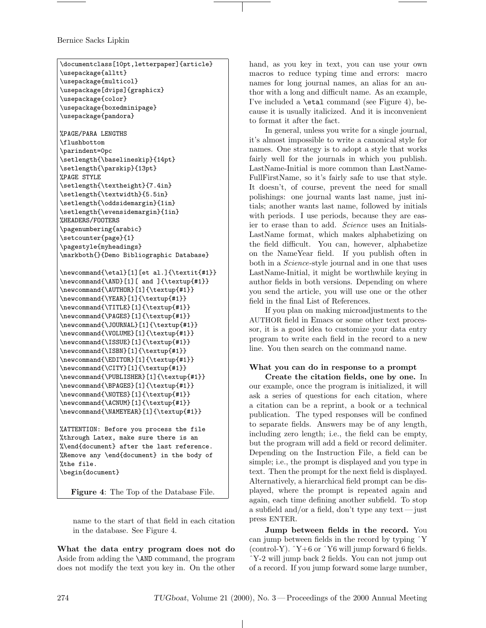```
\documentclass[10pt,letterpaper]{article}
\usepackage{alltt}
\usepackage{multicol}
\usepackage[dvips]{graphicx}
\usepackage{color}
\usepackage{boxedminipage}
\usepackage{pandora}
%PAGE/PARA LENGTHS
\flushbottom
\parindent=0pc
\setlength{\baselineskip}{14pt}
\setlength{\parskip}{13pt}
%PAGE STYLE
\setlength{\textheight}{7.4in}
\setlength{\textwidth}{5.5in}
\setlength{\oddsidemargin}{1in}
\setlength{\evensidemargin}{1in}
%HEADERS/FOOTERS
\pagenumbering{arabic}
\setcounter{page}{1}
\pagestyle{myheadings}
\markboth{}{Demo Bibliographic Database}
\newcommand{\etal}[1][et al.]{\textit{#1}}
\newcommand{\AND}[1][ and ]{\textup{#1}}
\newcommand{\AUTHOR}[1]{\textup{#1}}
\newcommand{\YEAR}[1]{\textup{#1}}
\newcommand{\TITLE}[1]{\textup{#1}}
\newcommand{\PAGES}[1]{\textup{#1}}
\newcommand{\JOURNAL}[1]{\textup{#1}}
\newcommand{\VOLUME}[1]{\textup{#1}}
\newcommand{\ISSUE}[1]{\textup{#1}}
\newcommand{\ISBN}[1]{\textup{#1}}
\newcommand{\EDITOR}[1]{\textup{#1}}
\newcommand{\CITY}[1]{\textup{#1}}
\newcommand{\PUBLISHER}[1]{\textup{#1}}
\newcommand{\BPAGES}[1]{\textup{#1}}
\newcommand{\NOTES}[1]{\textup{#1}}
\newcommand{\ACNUM}[1]{\textup{#1}}
\newcommand{\NAMEYEAR}[1]{\textup{#1}}
%ATTENTION: Before you process the file
%through Latex, make sure there is an
%\end{document} after the last reference.
%Remove any \end{document} in the body of
%the file.
```
\begin{document}

Figure 4: The Top of the Database File.

name to the start of that field in each citation in the database. See Figure 4.

What the data entry program does not do Aside from adding the \AND command, the program does not modify the text you key in. On the other hand, as you key in text, you can use your own macros to reduce typing time and errors: macro names for long journal names, an alias for an author with a long and difficult name. As an example, I've included a \etal command (see Figure 4), because it is usually italicized. And it is inconvenient to format it after the fact.

In general, unless you write for a single journal, it's almost impossible to write a canonical style for names. One strategy is to adopt a style that works fairly well for the journals in which you publish. LastName-Initial is more common than LastName-FullFirstName, so it's fairly safe to use that style. It doesn't, of course, prevent the need for small polishings: one journal wants last name, just initials; another wants last name, followed by initials with periods. I use periods, because they are easier to erase than to add. Science uses an Initials-LastName format, which makes alphabetizing on the field difficult. You can, however, alphabetize on the NameYear field. If you publish often in both in a *Science*-style journal and in one that uses LastName-Initial, it might be worthwhile keying in author fields in both versions. Depending on where you send the article, you will use one or the other field in the final List of References.

If you plan on making microadjustments to the AUTHOR field in Emacs or some other text processor, it is a good idea to customize your data entry program to write each field in the record to a new line. You then search on the command name.

# What you can do in response to a prompt

Create the citation fields, one by one. In our example, once the program is initialized, it will ask a series of questions for each citation, where a citation can be a reprint, a book or a technical publication. The typed responses will be confined to separate fields. Answers may be of any length, including zero length; i.e., the field can be empty, but the program will add a field or record delimiter. Depending on the Instruction File, a field can be simple; i.e., the prompt is displayed and you type in text. Then the prompt for the next field is displayed. Alternatively, a hierarchical field prompt can be displayed, where the prompt is repeated again and again, each time defining another subfield. To stop a subfield and/or a field, don't type any text— just press ENTER.

Jump between fields in the record. You can jump between fields in the record by typing ˆY (control-Y).  $\hat{Y}$ +6 or  $\hat{Y}$ 6 will jump forward 6 fields. ˆY-2 will jump back 2 fields. You can not jump out of a record. If you jump forward some large number,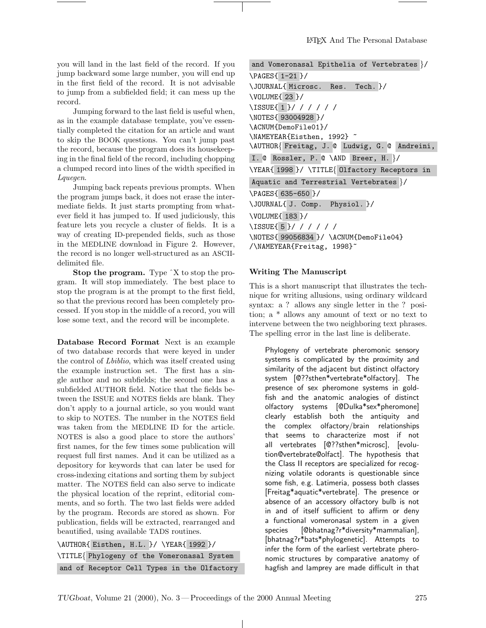you will land in the last field of the record. If you jump backward some large number, you will end up in the first field of the record. It is not advisable to jump from a subfielded field; it can mess up the record.

Jumping forward to the last field is useful when, as in the example database template, you've essentially completed the citation for an article and want to skip the BOOK questions. You can't jump past the record, because the program does its housekeeping in the final field of the record, including chopping a clumped record into lines of the width specified in Lquegen.

Jumping back repeats previous prompts. When the program jumps back, it does not erase the intermediate fields. It just starts prompting from whatever field it has jumped to. If used judiciously, this feature lets you recycle a cluster of fields. It is a way of creating ID-prepended fields, such as those in the MEDLINE download in Figure 2. However, the record is no longer well-structured as an ASCIIdelimited file.

Stop the program. Type  $\hat{X}$  to stop the program. It will stop immediately. The best place to stop the program is at the prompt to the first field, so that the previous record has been completely processed. If you stop in the middle of a record, you will lose some text, and the record will be incomplete.

Database Record Format Next is an example of two database records that were keyed in under the control of Lbiblio, which was itself created using the example instruction set. The first has a single author and no subfields; the second one has a subfielded AUTHOR field. Notice that the fields between the ISSUE and NOTES fields are blank. They don't apply to a journal article, so you would want to skip to NOTES. The number in the NOTES field was taken from the MEDLINE ID for the article. NOTES is also a good place to store the authors' first names, for the few times some publication will request full first names. And it can be utilized as a depository for keywords that can later be used for cross-indexing citations and sorting them by subject matter. The NOTES field can also serve to indicate the physical location of the reprint, editorial comments, and so forth. The two last fields were added by the program. Records are stored as shown. For publication, fields will be extracted, rearranged and beautified, using available TADS routines.

\AUTHOR{ Eisthen, H.L. }/ \YEAR{ 1992 }/ \TITLE{ Phylogeny of the Vomeronasal System and of Receptor Cell Types in the Olfactory

and Vomeronasal Epithelia of Vertebrates }/ \PAGES{ 1-21 }/ \JOURNAL{ Microsc. Res. Tech. }/ \VOLUME{ 23 }/ \ISSUE{ 1 }/ / / / / / \NOTES{ 93004928 }/ \ACNUM{DemoFile01}/ \NAMEYEAR{Eisthen, 1992} ~ \AUTHOR{ Freitag, J. @ Ludwig, G. @ Andreini, I. @ Rossler, P. @ \AND Breer, H. }/ \YEAR{ 1998 }/ \TITLE{ Olfactory Receptors in Aquatic and Terrestrial Vertebrates }/ \PAGES{ 635-650 }/ \JOURNAL{ J. Comp. Physiol. }/ \VOLUME{ 183 }/ \ISSUE{ 5 }/ / / / / / \NOTES{ 99056834 }/ \ACNUM{DemoFile04} /\NAMEYEAR{Freitag, 1998}~

#### Writing The Manuscript

This is a short manuscript that illustrates the technique for writing allusions, using ordinary wildcard syntax: a ? allows any single letter in the ? position; a \* allows any amount of text or no text to intervene between the two neighboring text phrases. The spelling error in the last line is deliberate.

Phylogeny of vertebrate pheromonic sensory systems is complicated by the proximity and similarity of the adjacent but distinct olfactory system [@??sthen\*vertebrate\*olfactory]. The presence of sex pheromone systems in goldfish and the anatomic analogies of distinct olfactory systems [@Dulka\*sex\*pheromone] clearly establish both the antiquity and the complex olfactory/brain relationships that seems to characterize most if not all vertebrates [@??sthen\*microsc], [evolution@vertebrate@olfact]. The hypothesis that the Class II receptors are specialized for recognizing volatile odorants is questionable since some fish, e.g. Latimeria, possess both classes [Freitag\*aquatic\*vertebrate]. The presence or absence of an accessory olfactory bulb is not in and of itself sufficient to affirm or deny a functional vomeronasal system in a given species [@bhatnag?r\*diversity\*mammalian], [bhatnag?r\*bats\*phylogenetic]. Attempts to infer the form of the earliest vertebrate pheronomic structures by comparative anatomy of hagfish and lamprey are made difficult in that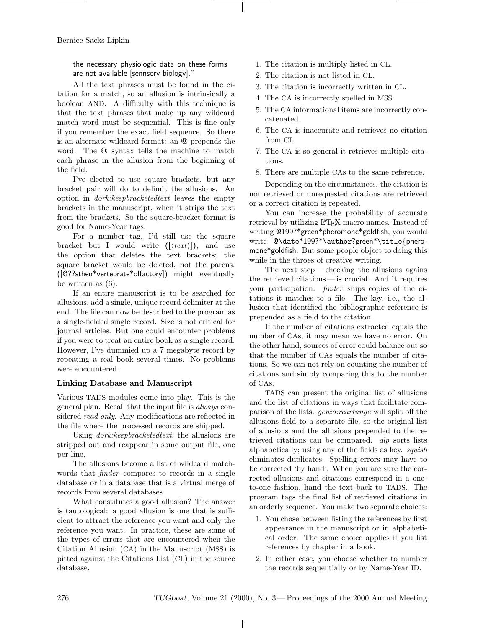the necessary physiologic data on these forms are not available [sennsory biology].

All the text phrases must be found in the citation for a match, so an allusion is intrinsically a boolean AND. A difficulty with this technique is that the text phrases that make up any wildcard match word must be sequential. This is fine only if you remember the exact field sequence. So there is an alternate wildcard format: an @ prepends the word. The @ syntax tells the machine to match each phrase in the allusion from the beginning of the field.

I've elected to use square brackets, but any bracket pair will do to delimit the allusions. An option in dork:keepbracketedtext leaves the empty brackets in the manuscript, when it strips the text from the brackets. So the square-bracket format is good for Name-Year tags.

For a number tag, I'd still use the square bracket but I would write  $(|\langle text \rangle|)$ , and use the option that deletes the text brackets; the square bracket would be deleted, not the parens. ([@??sthen\*vertebrate\*olfactory]) might eventually be written as (6).

If an entire manuscript is to be searched for allusions, add a single, unique record delimiter at the end. The file can now be described to the program as a single-fielded single record. Size is not critical for journal articles. But one could encounter problems if you were to treat an entire book as a single record. However, I've dummied up a 7 megabyte record by repeating a real book several times. No problems were encountered.

# Linking Database and Manuscript

Various TADS modules come into play. This is the general plan. Recall that the input file is always considered read only. Any modifications are reflected in the file where the processed records are shipped.

Using dork:keepbracketedtext, the allusions are stripped out and reappear in some output file, one per line,

The allusions become a list of wildcard matchwords that finder compares to records in a single database or in a database that is a virtual merge of records from several databases.

What constitutes a good allusion? The answer is tautological: a good allusion is one that is sufficient to attract the reference you want and only the reference you want. In practice, these are some of the types of errors that are encountered when the Citation Allusion (CA) in the Manuscript (MSS) is pitted against the Citations List (CL) in the source database.

- 1. The citation is multiply listed in CL.
- 2. The citation is not listed in CL.
- 3. The citation is incorrectly written in CL.
- 4. The CA is incorrectly spelled in MSS.
- 5. The CA informational items are incorrectly concatenated.
- 6. The CA is inaccurate and retrieves no citation from CL.
- 7. The CA is so general it retrieves multiple citations.
- 8. There are multiple CAs to the same reference.

Depending on the circumstances, the citation is not retrieved or unrequested citations are retrieved or a correct citation is repeated.

You can increase the probability of accurate retrieval by utilizing LATEX macro names. Instead of writing @199?\*green\*pheromone\*goldfish, you would write @\date\*199?\*\author?green\*\title{pheromone\*goldfish. But some people object to doing this while in the throes of creative writing.

The next step — checking the allusions agains the retrieved citations — is crucial. And it requires your participation. *finder* ships copies of the citations it matches to a file. The key, i.e., the allusion that identified the bibliographic reference is prepended as a field to the citation.

If the number of citations extracted equals the number of CAs, it may mean we have no error. On the other hand, sources of error could balance out so that the number of CAs equals the number of citations. So we can not rely on counting the number of citations and simply comparing this to the number of CAs.

TADS can present the original list of allusions and the list of citations in ways that facilitate comparison of the lists. genio:rearrange will split off the allusions field to a separate file, so the original list of allusions and the allusions prepended to the retrieved citations can be compared. alp sorts lists alphabetically; using any of the fields as key. squish eliminates duplicates. Spelling errors may have to be corrected 'by hand'. When you are sure the corrected allusions and citations correspond in a oneto-one fashion, hand the text back to TADS. The program tags the final list of retrieved citations in an orderly sequence. You make two separate choices:

- 1. You chose between listing the references by first appearance in the manuscript or in alphabetical order. The same choice applies if you list references by chapter in a book.
- 2. In either case, you choose whether to number the records sequentially or by Name-Year ID.

 $\perp$